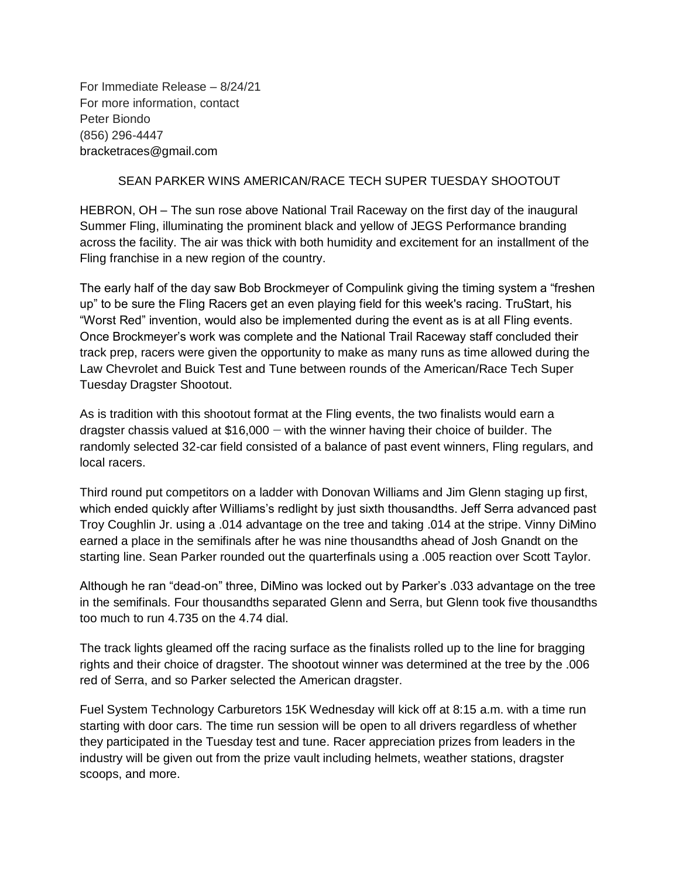For Immediate Release – 8/24/21 For more information, contact Peter Biondo (856) 296-4447 bracketraces@gmail.com

## SEAN PARKER WINS AMERICAN/RACE TECH SUPER TUESDAY SHOOTOUT

HEBRON, OH – The sun rose above National Trail Raceway on the first day of the inaugural Summer Fling, illuminating the prominent black and yellow of JEGS Performance branding across the facility. The air was thick with both humidity and excitement for an installment of the Fling franchise in a new region of the country.

The early half of the day saw Bob Brockmeyer of Compulink giving the timing system a "freshen up" to be sure the Fling Racers get an even playing field for this week's racing. TruStart, his "Worst Red" invention, would also be implemented during the event as is at all Fling events. Once Brockmeyer's work was complete and the National Trail Raceway staff concluded their track prep, racers were given the opportunity to make as many runs as time allowed during the Law Chevrolet and Buick Test and Tune between rounds of the American/Race Tech Super Tuesday Dragster Shootout.

As is tradition with this shootout format at the Fling events, the two finalists would earn a dragster chassis valued at  $$16,000 -$  with the winner having their choice of builder. The randomly selected 32-car field consisted of a balance of past event winners, Fling regulars, and local racers.

Third round put competitors on a ladder with Donovan Williams and Jim Glenn staging up first, which ended quickly after Williams's redlight by just sixth thousandths. Jeff Serra advanced past Troy Coughlin Jr. using a .014 advantage on the tree and taking .014 at the stripe. Vinny DiMino earned a place in the semifinals after he was nine thousandths ahead of Josh Gnandt on the starting line. Sean Parker rounded out the quarterfinals using a .005 reaction over Scott Taylor.

Although he ran "dead-on" three, DiMino was locked out by Parker's .033 advantage on the tree in the semifinals. Four thousandths separated Glenn and Serra, but Glenn took five thousandths too much to run 4.735 on the 4.74 dial.

The track lights gleamed off the racing surface as the finalists rolled up to the line for bragging rights and their choice of dragster. The shootout winner was determined at the tree by the .006 red of Serra, and so Parker selected the American dragster.

Fuel System Technology Carburetors 15K Wednesday will kick off at 8:15 a.m. with a time run starting with door cars. The time run session will be open to all drivers regardless of whether they participated in the Tuesday test and tune. Racer appreciation prizes from leaders in the industry will be given out from the prize vault including helmets, weather stations, dragster scoops, and more.